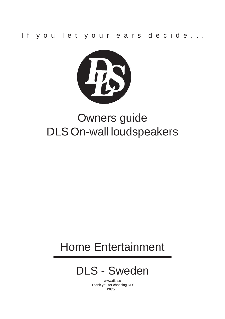If y ou let y our ears decide...



# Owners guide DLS On-wall loudspeakers

# Home Entertainment

# DLS - Sweden

www.dls.se Thank you for choosing DLS enjoy...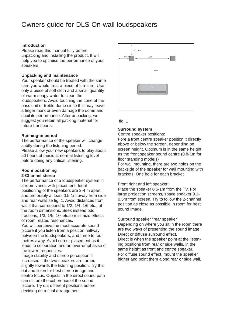## Owners guide for DLS On-wall loudspeakers

#### **Introduction**

Please read this manual fully before unpacking and installing the product. It will help you to optimise the performance of your speakers .

#### **Unpacking and maintenance**

Your speaker should be treated with the same care you would treat a piece of furniture. Use only a piece of soft cloth and a small quantity of warm soapy water to clean the loudspeakers. Avoid touching the cone of the bass unit or treble dome since this may leave a finger mark or even damage the dome and spoil its performance. After unpacking, we suggest you retain all packing material for future transports.

#### **Running-in period**

The performance of the speaker will change subtly during the listening period.

Please allow your new speakers to play about 50 hours of music at normal listening level before doing any critical listening.

#### **Room positioning 2-Channel stereo**

The performance of a loudspeaker system in a room varies with placement. Ideal positioning of the speakers are 3-4 m apart and preferably at least 0.5-1m away from side and rear walls se fig. 1. Avoid distances from walls that correspond to 1/2, 1/4, 1/6 etc., of the room dimensions. Seek instead odd fractions; 1/3, 1/5, 1/7 etc.to minimize effects of room related resonances.

You will perceive the most accurate sound picture if you listen from a position halfway between the loudspeakers, and three to four metres away. Avoid corner placement as it leads to colouration and an over-emphasise of the lower frequencies.

Image stability and stereo perception is increased if the two speakers are turned slightly towards the listening position. Try this out and listen for best stereo image and centre focus. Objects in the direct sound path can disturb the coherence of the sound picture. Try out different positions before deciding on a final arrangement.



#### fig. 1

#### **Surround system**

Centre speaker positions:

Fore a front centre speaker position it directly above or below the screen, depending on screen height. Optimum is in the same height as the front speaker sound centre (0.8-1m for floor standing models)

For wall mounting, there are two holes on the backside of the speaker for wall mounting with brackets. One hole for each bracket

#### Front right and left speaker:

Place the speaker 0.5-1m from the TV. For large projection screens, space speaker 0.1- 0.5m from screen. Try to follow the 2-channel position as close as possible in room for best sound image.

Surround speaker "rear speaker"

Depending on where you sit in the room there are two ways of presenting the sound image. Direct or diffuse surround effect. Direct is when the speaker point at the listening positions from rear or side walls, in the same height as front and centre speaker. For diffuse sound effect, mount the speaker higher and point them along rear or side wall.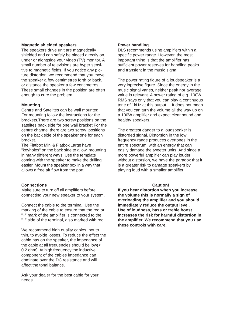#### **Magnetic shielded speakers**

The speakers drive unit are magnetically shielded and can safely be placed directly on, under or alongside your video (TV) monitor. A small number of televisions are hyper sensitive to magnetic fields. If you notice any picture distortion, we recommend that you move the speaker a few centimetres forth or back, or distance the speaker a few centimetres. These small changes in the position are often enough to cure the problem.

#### **Mounting**

Centre and Satelites can be wall mounted. For mounting follow the instructions for the brackets.There are two screw positions on the satelites back side for one wall bracket.For the centre channel there are two screw positions on the back side of the speaker one for each bracket.

The Flatbox Mini & Flatbox Large have "keyholes" on the back side to allow mounting in many different ways. Use the template coming with the speaker to make the drilling easier. Mount the speaker box in a way that allows a free air flow from the port.

#### **Connections**

Make sure to turn off all amplifiers before connecting your new speaker to your system.

Connect the cable to the terminal. Use the marking of the cable to ensure that the red or "+" mark of the amplifier is connected to the "+" side of the terminal, also marked with red.

We recommend high quality cables, not to thin, to avoide losses. To reduce the effect the cable has on the speaker, the impedance of the cable at all frequencies should be low(< 0.2 ohm). At high frequency the inductive component of the cables impedance can dominate over the DC resistance and will affect the tonal balance.

Ask your dealer for the best cable for your needs.

#### **Power handling**

DLS recommends using amplifiers within a specific power range. However, the most important thing is that the amplifier has sufficient power reserves for handling peaks and transient in the music signal

The power rating figure of a loudspeaker is a very inprecise figure. Since the energy in the music signal varies, neither peak nor average value is relevant. A power rating of e.g. 100W RMS says only that you can play a continuous tone of 1kHz at this output. It does not mean that you can turn the volume all the way up on a 100W amplifier and expect clear sound and healthy speakers.

The greatest danger to a loudspeaker is distorded signal. Distorsion in the low frequency range produces overtones in the entire spectrum, with an energy that can easily damage the tweeter units. And since a more powerful amplifier can play louder without distorsion, we have the paradox that it is a greater risk to damage speakers by playing loud with a smaller amplifier.

#### **Caution!**

**If you hear distortion when you increase the volume this is normally a sign of overloading the amplifier and you should immediately reduce the output level. Use of loudness, bass or treble boost increases the risk for harmful distortion in the amplifier. We recommend that you use these controls with care.**